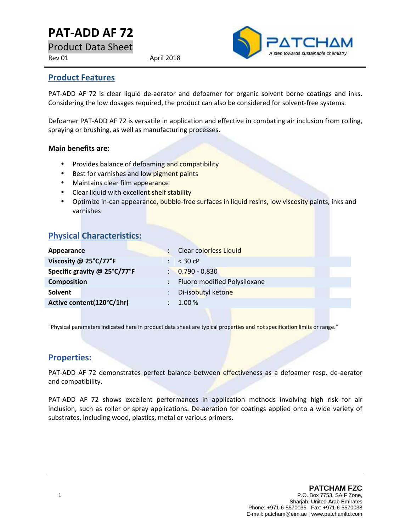# **PAT-ADD AF 72**

Product Data Sheet

Rev 01 April 2018



#### **Product Features**

PAT-ADD AF 72 is clear liquid de-aerator and defoamer for organic solvent borne coatings and inks. Considering the low dosages required, the product can also be considered for solvent-free systems.

Defoamer PAT-ADD AF 72 is versatile in application and effective in combating air inclusion from rolling, spraying or brushing, as well as manufacturing processes.

#### **Main benefits are:**

- Provides balance of defoaming and compatibility
- **Best for varnishes and low pigment paints**
- Maintains clear film appearance
- Clear liquid with excellent shelf stability
- Optimize in-can appearance, bubble-free surfaces in liquid resins, low viscosity paints, inks and varnishes

| <b>Physical Characteristics:</b> |
|----------------------------------|
|----------------------------------|

| Appearance                   | Clear colorless Liquid       |
|------------------------------|------------------------------|
| Viscosity @ 25°C/77°F        | $<$ 30 cP                    |
| Specific gravity @ 25°C/77°F | $0.790 - 0.830$              |
| <b>Composition</b>           | Fluoro modified Polysiloxane |
| <b>Solvent</b>               | Di-isobutyl ketone           |
| Active content(120°C/1hr)    | 1.00 %                       |
|                              |                              |

"Physical parameters indicated here in product data sheet are typical properties and not specification limits or range."

#### **Properties:**

PAT-ADD AF 72 demonstrates perfect balance between effectiveness as a defoamer resp. de-aerator and compatibility.

PAT-ADD AF 72 shows excellent performances in application methods involving high risk for air inclusion, such as roller or spray applications. De-aeration for coatings applied onto a wide variety of substrates, including wood, plastics, metal or various primers.